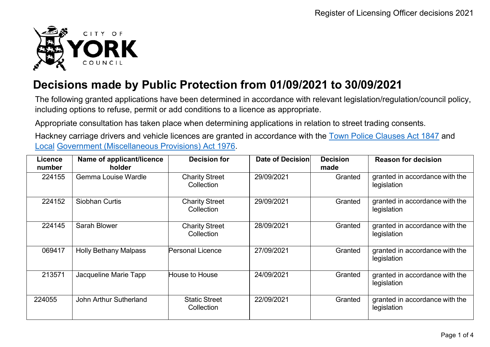

## **Decisions made by Public Protection from 01/09/2021 to 30/09/2021**

The following granted applications have been determined in accordance with relevant legislation/regulation/council policy, including options to refuse, permit or add conditions to a licence as appropriate.

Appropriate consultation has taken place when determining applications in relation to street trading consents.

Hackney carriage drivers and vehicle licences are granted in accordance with the Town Police [Clauses](http://www.legislation.gov.uk/ukpga/Vict/10-11/89) Act 1847 and [Local](http://www.legislation.gov.uk/ukpga/1976/57) [Government \(Miscellaneous Provisions\) Act 1976.](http://www.legislation.gov.uk/ukpga/1976/57)

| <b>Licence</b><br>number | Name of applicant/licence<br>holder | <b>Decision for</b>                 | Date of Decision | <b>Decision</b><br>made | <b>Reason for decision</b>                    |
|--------------------------|-------------------------------------|-------------------------------------|------------------|-------------------------|-----------------------------------------------|
| 224155                   | <b>Gemma Louise Wardle</b>          | <b>Charity Street</b><br>Collection | 29/09/2021       | Granted                 | granted in accordance with the<br>legislation |
| 224152                   | <b>Siobhan Curtis</b>               | <b>Charity Street</b><br>Collection | 29/09/2021       | Granted                 | granted in accordance with the<br>legislation |
| 224145                   | Sarah Blower                        | <b>Charity Street</b><br>Collection | 28/09/2021       | Granted                 | granted in accordance with the<br>legislation |
| 069417                   | <b>Holly Bethany Malpass</b>        | Personal Licence                    | 27/09/2021       | Granted                 | granted in accordance with the<br>legislation |
| 213571                   | Jacqueline Marie Tapp               | House to House                      | 24/09/2021       | Granted                 | granted in accordance with the<br>legislation |
| 224055                   | <b>John Arthur Sutherland</b>       | <b>Static Street</b><br>Collection  | 22/09/2021       | Granted                 | granted in accordance with the<br>legislation |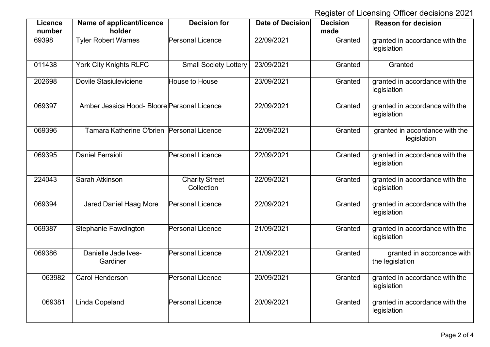Register of Licensing Officer decisions 2021

| Licence<br>number | Name of applicant/licence<br>holder         | <b>Decision for</b>                 | Date of Decision | <b>Decision</b><br>made | <b>Reason for decision</b>                    |
|-------------------|---------------------------------------------|-------------------------------------|------------------|-------------------------|-----------------------------------------------|
| 69398             | <b>Tyler Robert Warnes</b>                  | Personal Licence                    | 22/09/2021       | Granted                 | granted in accordance with the<br>legislation |
| 011438            | <b>York City Knights RLFC</b>               | <b>Small Society Lottery</b>        | 23/09/2021       | Granted                 | Granted                                       |
| 202698            | Dovile Stasiuleviciene                      | House to House                      | 23/09/2021       | Granted                 | granted in accordance with the<br>legislation |
| 069397            | Amber Jessica Hood- Bloore Personal Licence |                                     | 22/09/2021       | Granted                 | granted in accordance with the<br>legislation |
| 069396            | Tamara Katherine O'brien Personal Licence   |                                     | 22/09/2021       | Granted                 | granted in accordance with the<br>legislation |
| 069395            | <b>Daniel Ferraioli</b>                     | <b>Personal Licence</b>             | 22/09/2021       | Granted                 | granted in accordance with the<br>legislation |
| 224043            | Sarah Atkinson                              | <b>Charity Street</b><br>Collection | 22/09/2021       | Granted                 | granted in accordance with the<br>legislation |
| 069394            | <b>Jared Daniel Haag More</b>               | Personal Licence                    | 22/09/2021       | Granted                 | granted in accordance with the<br>legislation |
| 069387            | <b>Stephanie Fawdington</b>                 | <b>Personal Licence</b>             | 21/09/2021       | Granted                 | granted in accordance with the<br>legislation |
| 069386            | Danielle Jade Ives-<br>Gardiner             | <b>Personal Licence</b>             | 21/09/2021       | Granted                 | granted in accordance with<br>the legislation |
| 063982            | <b>Carol Henderson</b>                      | <b>Personal Licence</b>             | 20/09/2021       | Granted                 | granted in accordance with the<br>legislation |
| 069381            | Linda Copeland                              | <b>Personal Licence</b>             | 20/09/2021       | Granted                 | granted in accordance with the<br>legislation |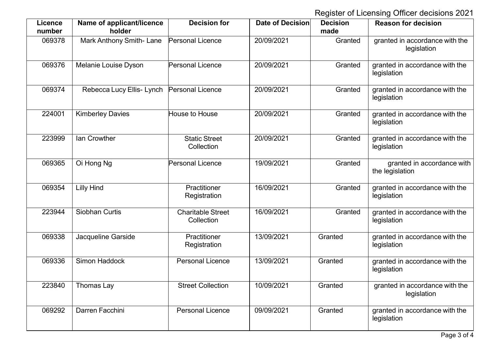Register of Licensing Officer decisions 2021

| <b>Licence</b><br>number | Name of applicant/licence<br>holder | <b>Decision for</b>                    | Date of Decision | <b>Decision</b><br>made | <b>Reason for decision</b>                    |
|--------------------------|-------------------------------------|----------------------------------------|------------------|-------------------------|-----------------------------------------------|
| 069378                   | Mark Anthony Smith-Lane             | <b>Personal Licence</b>                | 20/09/2021       | Granted                 | granted in accordance with the<br>legislation |
| 069376                   | Melanie Louise Dyson                | <b>Personal Licence</b>                | 20/09/2021       | Granted                 | granted in accordance with the<br>legislation |
| 069374                   | Rebecca Lucy Ellis- Lynch           | <b>Personal Licence</b>                | 20/09/2021       | Granted                 | granted in accordance with the<br>legislation |
| 224001                   | <b>Kimberley Davies</b>             | House to House                         | 20/09/2021       | Granted                 | granted in accordance with the<br>legislation |
| 223999                   | <b>Ian Crowther</b>                 | <b>Static Street</b><br>Collection     | 20/09/2021       | Granted                 | granted in accordance with the<br>legislation |
| 069365                   | Oi Hong Ng                          | Personal Licence                       | 19/09/2021       | Granted                 | granted in accordance with<br>the legislation |
| 069354                   | <b>Lilly Hind</b>                   | Practitioner<br>Registration           | 16/09/2021       | Granted                 | granted in accordance with the<br>legislation |
| 223944                   | <b>Siobhan Curtis</b>               | <b>Charitable Street</b><br>Collection | 16/09/2021       | Granted                 | granted in accordance with the<br>legislation |
| 069338                   | Jacqueline Garside                  | Practitioner<br>Registration           | 13/09/2021       | Granted                 | granted in accordance with the<br>legislation |
| 069336                   | Simon Haddock                       | <b>Personal Licence</b>                | 13/09/2021       | Granted                 | granted in accordance with the<br>legislation |
| 223840                   | Thomas Lay                          | <b>Street Collection</b>               | 10/09/2021       | Granted                 | granted in accordance with the<br>legislation |
| 069292                   | Darren Facchini                     | <b>Personal Licence</b>                | 09/09/2021       | Granted                 | granted in accordance with the<br>legislation |